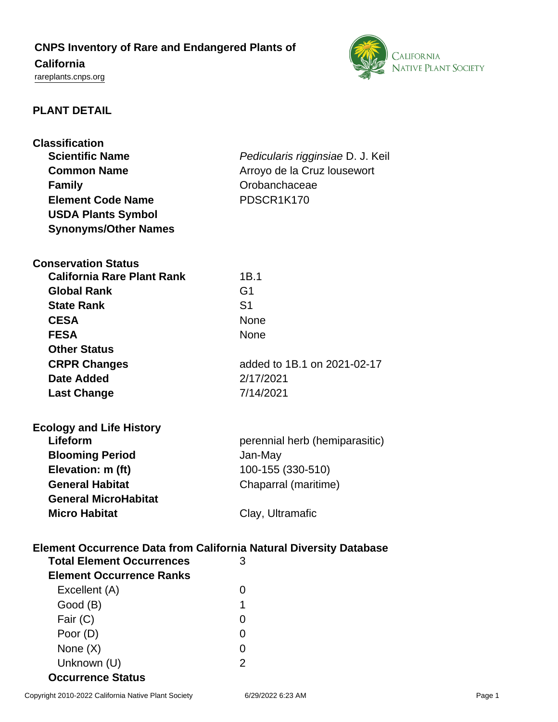# **CNPS Inventory of Rare and Endangered Plants of California**

<rareplants.cnps.org>



## **PLANT DETAIL**

| <b>Classification</b><br><b>Scientific Name</b><br><b>Common Name</b><br><b>Family</b><br><b>Element Code Name</b><br><b>USDA Plants Symbol</b><br><b>Synonyms/Other Names</b> | Pedicularis rigginsiae D. J. Keil<br>Arroyo de la Cruz lousewort<br>Orobanchaceae<br>PDSCR1K170 |
|--------------------------------------------------------------------------------------------------------------------------------------------------------------------------------|-------------------------------------------------------------------------------------------------|
| <b>Conservation Status</b>                                                                                                                                                     |                                                                                                 |
| <b>California Rare Plant Rank</b>                                                                                                                                              | 1B.1                                                                                            |
| <b>Global Rank</b>                                                                                                                                                             | G <sub>1</sub>                                                                                  |
| <b>State Rank</b>                                                                                                                                                              | S <sub>1</sub>                                                                                  |
| <b>CESA</b>                                                                                                                                                                    | <b>None</b>                                                                                     |
| <b>FESA</b>                                                                                                                                                                    | <b>None</b>                                                                                     |
| <b>Other Status</b>                                                                                                                                                            |                                                                                                 |
| <b>CRPR Changes</b>                                                                                                                                                            | added to 1B.1 on 2021-02-17                                                                     |
| <b>Date Added</b>                                                                                                                                                              | 2/17/2021                                                                                       |
| <b>Last Change</b>                                                                                                                                                             | 7/14/2021                                                                                       |
|                                                                                                                                                                                |                                                                                                 |
| <b>Ecology and Life History</b>                                                                                                                                                |                                                                                                 |
| Lifeform                                                                                                                                                                       | perennial herb (hemiparasitic)                                                                  |
| <b>Blooming Period</b>                                                                                                                                                         | Jan-May                                                                                         |
| Elevation: m (ft)                                                                                                                                                              | 100-155 (330-510)                                                                               |
| <b>General Habitat</b>                                                                                                                                                         | Chaparral (maritime)                                                                            |
| <b>General MicroHabitat</b>                                                                                                                                                    |                                                                                                 |
| <b>Micro Habitat</b>                                                                                                                                                           | Clay, Ultramafic                                                                                |
| Element Occurrence Data from California Natural Diversity Database<br><b>Total Element Occurrences</b><br>3<br><b>Element Occurrence Ranks</b>                                 |                                                                                                 |
| Excellent (A)                                                                                                                                                                  | 0                                                                                               |
| Good (B)                                                                                                                                                                       | 1                                                                                               |
| Fair (C)                                                                                                                                                                       | 0                                                                                               |
| Poor (D)                                                                                                                                                                       | 0                                                                                               |
| None $(X)$                                                                                                                                                                     | 0                                                                                               |
| Unknown (U)                                                                                                                                                                    | $\overline{2}$                                                                                  |

**Occurrence Status**